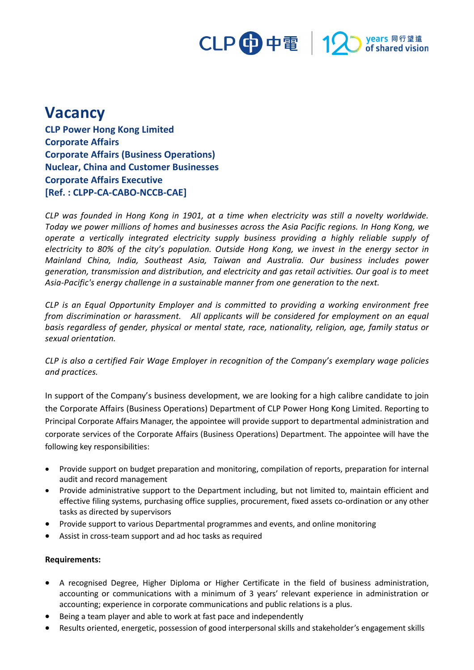## CLP 中電 12 stared vision

## **Vacancy**

**CLP Power Hong Kong Limited Corporate Affairs Corporate Affairs (Business Operations) Nuclear, China and Customer Businesses Corporate Affairs Executive [Ref. : CLPP-CA-CABO-NCCB-CAE]**

*CLP was founded in Hong Kong in 1901, at a time when electricity was still a novelty worldwide. Today we power millions of homes and businesses across the Asia Pacific regions. In Hong Kong, we operate a vertically integrated electricity supply business providing a highly reliable supply of electricity to 80% of the city's population. Outside Hong Kong, we invest in the energy sector in Mainland China, India, Southeast Asia, Taiwan and Australia. Our business includes power generation, transmission and distribution, and electricity and gas retail activities. Our goal is to meet Asia-Pacific's energy challenge in a sustainable manner from one generation to the next.*

*CLP is an Equal Opportunity Employer and is committed to providing a working environment free from discrimination or harassment. All applicants will be considered for employment on an equal basis regardless of gender, physical or mental state, race, nationality, religion, age, family status or sexual orientation.*

*CLP is also a certified Fair Wage Employer in recognition of the Company's exemplary wage policies and practices.*

In support of the Company's business development, we are looking for a high calibre candidate to join the Corporate Affairs (Business Operations) Department of CLP Power Hong Kong Limited. Reporting to Principal Corporate Affairs Manager, the appointee will provide support to departmental administration and corporate services of the Corporate Affairs (Business Operations) Department. The appointee will have the following key responsibilities:

- Provide support on budget preparation and monitoring, compilation of reports, preparation for internal audit and record management
- Provide administrative support to the Department including, but not limited to, maintain efficient and effective filing systems, purchasing office supplies, procurement, fixed assets co-ordination or any other tasks as directed by supervisors
- Provide support to various Departmental programmes and events, and online monitoring
- Assist in cross-team support and ad hoc tasks as required

## **Requirements:**

- A recognised Degree, Higher Diploma or Higher Certificate in the field of business administration, accounting or communications with a minimum of 3 years' relevant experience in administration or accounting; experience in corporate communications and public relations is a plus.
- Being a team player and able to work at fast pace and independently
- Results oriented, energetic, possession of good interpersonal skills and stakeholder's engagement skills